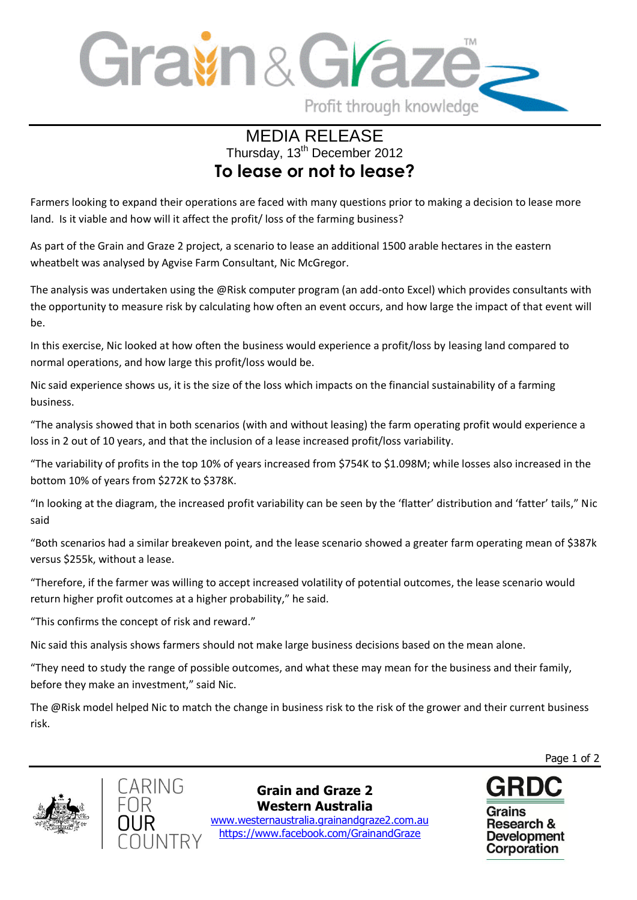

## MEDIA RELEASE Thursday, 13<sup>th</sup> December 2012 **To lease or not to lease?**

Farmers looking to expand their operations are faced with many questions prior to making a decision to lease more land. Is it viable and how will it affect the profit/ loss of the farming business?

As part of the Grain and Graze 2 project, a scenario to lease an additional 1500 arable hectares in the eastern wheatbelt was analysed by Agvise Farm Consultant, Nic McGregor.

The analysis was undertaken using the @Risk computer program (an add-onto Excel) which provides consultants with the opportunity to measure risk by calculating how often an event occurs, and how large the impact of that event will be.

In this exercise, Nic looked at how often the business would experience a profit/loss by leasing land compared to normal operations, and how large this profit/loss would be.

Nic said experience shows us, it is the size of the loss which impacts on the financial sustainability of a farming business.

"The analysis showed that in both scenarios (with and without leasing) the farm operating profit would experience a loss in 2 out of 10 years, and that the inclusion of a lease increased profit/loss variability.

"The variability of profits in the top 10% of years increased from \$754K to \$1.098M; while losses also increased in the bottom 10% of years from \$272K to \$378K.

"In looking at the diagram, the increased profit variability can be seen by the 'flatter' distribution and 'fatter' tails," Nic said

"Both scenarios had a similar breakeven point, and the lease scenario showed a greater farm operating mean of \$387k versus \$255k, without a lease.

"Therefore, if the farmer was willing to accept increased volatility of potential outcomes, the lease scenario would return higher profit outcomes at a higher probability," he said.

"This confirms the concept of risk and reward."

Nic said this analysis shows farmers should not make large business decisions based on the mean alone.

"They need to study the range of possible outcomes, and what these may mean for the business and their family, before they make an investment," said Nic.

The @Risk model helped Nic to match the change in business risk to the risk of the grower and their current business risk.





**Grain and Graze 2 Western Australia**

 www.westernaustralia.grainandgraze2.com.au https://www.facebook.com/GrainandGraze



Page 1 of 2